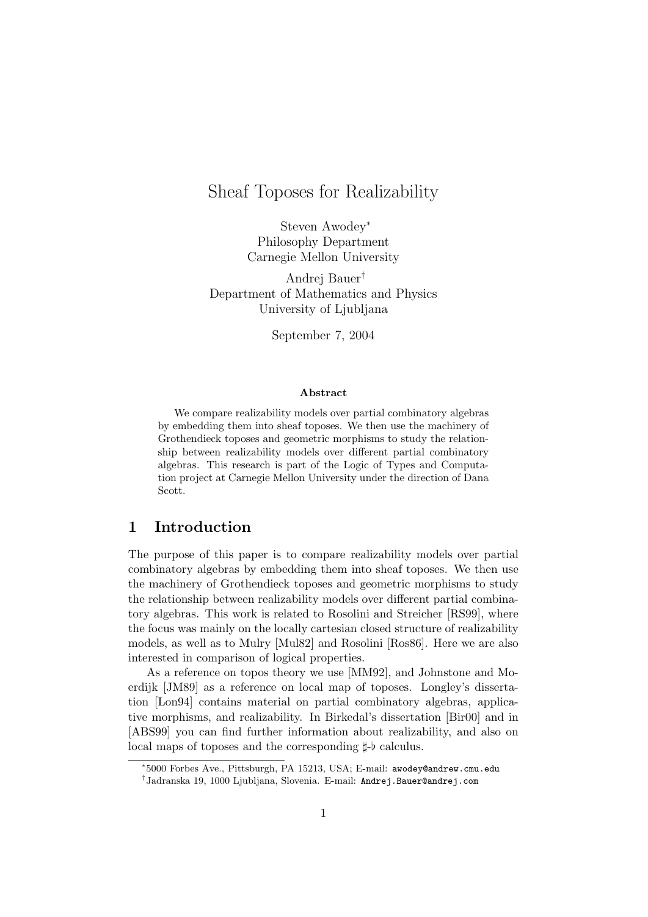# Sheaf Toposes for Realizability

Steven Awodey<sup>∗</sup> Philosophy Department Carnegie Mellon University

Andrej Bauer† Department of Mathematics and Physics University of Ljubljana

September 7, 2004

#### Abstract

We compare realizability models over partial combinatory algebras by embedding them into sheaf toposes. We then use the machinery of Grothendieck toposes and geometric morphisms to study the relationship between realizability models over different partial combinatory algebras. This research is part of the Logic of Types and Computation project at Carnegie Mellon University under the direction of Dana Scott.

### 1 Introduction

The purpose of this paper is to compare realizability models over partial combinatory algebras by embedding them into sheaf toposes. We then use the machinery of Grothendieck toposes and geometric morphisms to study the relationship between realizability models over different partial combinatory algebras. This work is related to Rosolini and Streicher [RS99], where the focus was mainly on the locally cartesian closed structure of realizability models, as well as to Mulry [Mul82] and Rosolini [Ros86]. Here we are also interested in comparison of logical properties.

As a reference on topos theory we use [MM92], and Johnstone and Moerdijk [JM89] as a reference on local map of toposes. Longley's dissertation [Lon94] contains material on partial combinatory algebras, applicative morphisms, and realizability. In Birkedal's dissertation [Bir00] and in [ABS99] you can find further information about realizability, and also on local maps of toposes and the corresponding  $\sharp$ - $\flat$  calculus.

<sup>∗</sup> 5000 Forbes Ave., Pittsburgh, PA 15213, USA; E-mail: awodey@andrew.cmu.edu † Jadranska 19, 1000 Ljubljana, Slovenia. E-mail: Andrej.Bauer@andrej.com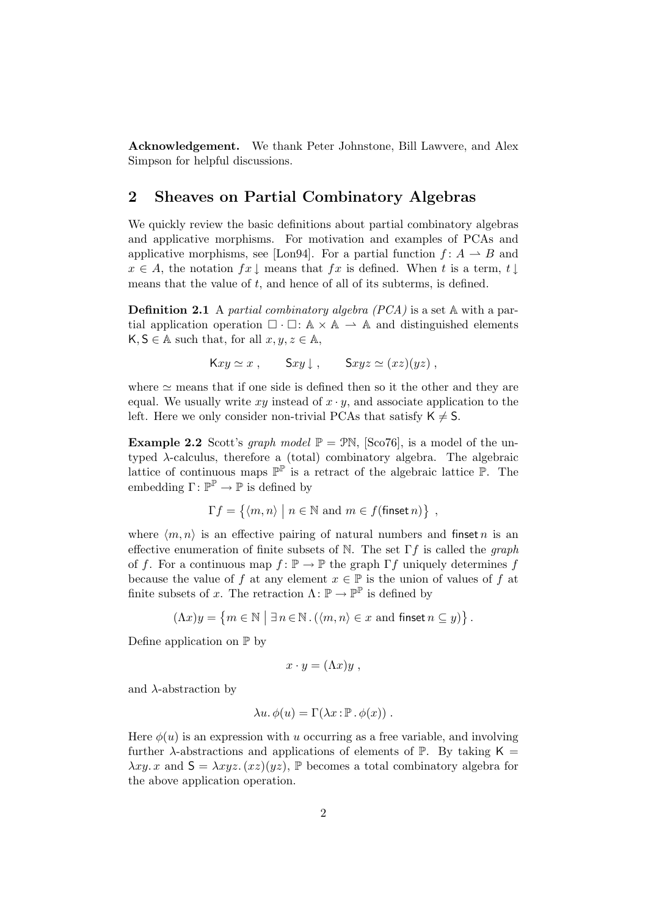Acknowledgement. We thank Peter Johnstone, Bill Lawvere, and Alex Simpson for helpful discussions.

## 2 Sheaves on Partial Combinatory Algebras

We quickly review the basic definitions about partial combinatory algebras and applicative morphisms. For motivation and examples of PCAs and applicative morphisms, see [Lon94]. For a partial function  $f: A \to B$  and  $x \in A$ , the notation  $fx \downarrow$  means that  $fx$  is defined. When t is a term,  $t \downarrow$ means that the value of  $t$ , and hence of all of its subterms, is defined.

Definition 2.1 A partial combinatory algebra (PCA) is a set A with a partial application operation  $\Box \cdot \Box : A \times A \rightarrow A$  and distinguished elements  $\mathsf{K}, \mathsf{S} \in \mathbb{A}$  such that, for all  $x, y, z \in \mathbb{A}$ ,

$$
Kxy \simeq x
$$
,  $Sxy \downarrow$ ,  $Sxyz \simeq (xz)(yz)$ ,

where  $\simeq$  means that if one side is defined then so it the other and they are equal. We usually write xy instead of  $x \cdot y$ , and associate application to the left. Here we only consider non-trivial PCAs that satisfy  $K \neq S$ .

**Example 2.2** Scott's graph model  $\mathbb{P} = \mathbb{P}N$ , [Sco76], is a model of the untyped  $\lambda$ -calculus, therefore a (total) combinatory algebra. The algebraic lattice of continuous maps  $\mathbb{P}^{\mathbb{P}}$  is a retract of the algebraic lattice  $\mathbb{P}$ . The embedding  $\Gamma: \mathbb{P}^{\mathbb{P}} \to \mathbb{P}$  is defined by

$$
\Gamma f = \{ \langle m, n \rangle \mid n \in \mathbb{N} \text{ and } m \in f(\text{finset } n) \},
$$

where  $\langle m, n \rangle$  is an effective pairing of natural numbers and finset n is an effective enumeration of finite subsets of N. The set  $\Gamma f$  is called the *graph* of f. For a continuous map  $f: \mathbb{P} \to \mathbb{P}$  the graph  $\Gamma f$  uniquely determines f because the value of f at any element  $x \in \mathbb{P}$  is the union of values of f at finite subsets of x. The retraction  $\Lambda: \mathbb{P} \to \mathbb{P}^{\mathbb{P}}$  is defined by

$$
(\Lambda x)y=\left\{m\in\mathbb{N}\,\,\big|\,\,\exists\,n\!\in\!\mathbb{N}\,.\,(\langle m,n\rangle\in x\,\,\text{and}\,\,\text{finset}\,n\subseteq y)\right\}.
$$

Define application on  $\mathbb P$  by

$$
x \cdot y = (\Lambda x) y ,
$$

and  $\lambda$ -abstraction by

$$
\lambda u.\,\phi(u) = \Gamma(\lambda x : \mathbb{P} \cdot \phi(x))\;.
$$

Here  $\phi(u)$  is an expression with u occurring as a free variable, and involving further  $\lambda$ -abstractions and applications of elements of P. By taking K =  $\lambda xy. x$  and  $S = \lambda xyz. (xz)(yz)$ , P becomes a total combinatory algebra for the above application operation.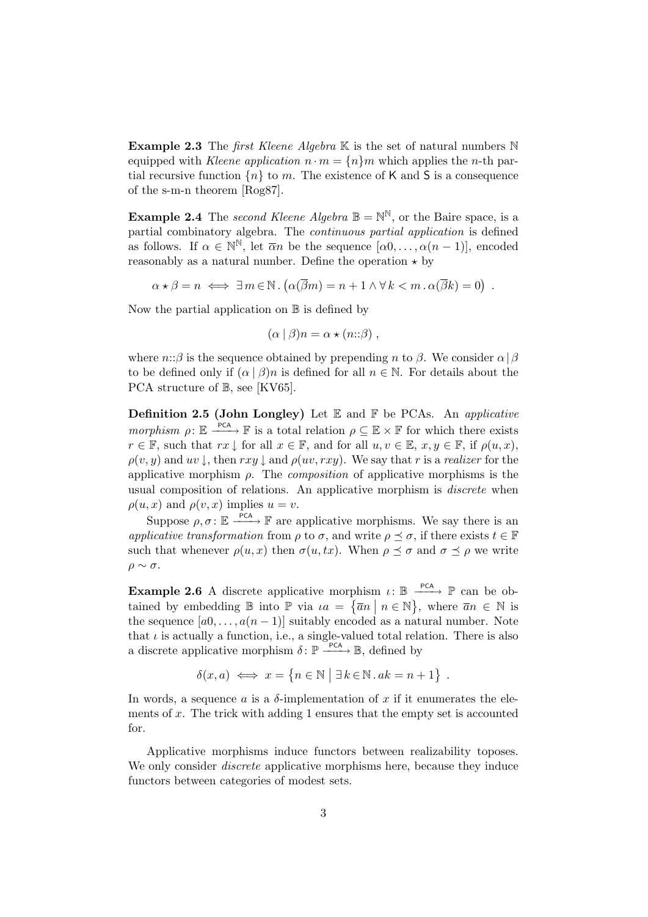**Example 2.3** The *first Kleene Algebra*  $\mathbb{K}$  is the set of natural numbers  $\mathbb{N}$ equipped with Kleene application  $n \cdot m = \{n\}m$  which applies the n-th partial recursive function  $\{n\}$  to m. The existence of K and S is a consequence of the s-m-n theorem [Rog87].

**Example 2.4** The second Kleene Algebra  $\mathbb{B} = \mathbb{N}^{\mathbb{N}}$ , or the Baire space, is a partial combinatory algebra. The continuous partial application is defined as follows. If  $\alpha \in \mathbb{N}^{\mathbb{N}}$ , let  $\overline{\alpha}n$  be the sequence  $[\alpha 0, \ldots, \alpha (n-1)]$ , encoded reasonably as a natural number. Define the operation  $\star$  by

 $\alpha \star \beta = n \iff \exists m \in \mathbb{N} \cdot (\alpha(\overline{\beta}m) = n + 1 \wedge \forall k < m \cdot \alpha(\overline{\beta}k) = 0)$ .

Now the partial application on  $\mathbb B$  is defined by

$$
(\alpha \mid \beta)n = \alpha \star (n::\beta) ,
$$

where  $n:\beta$  is the sequence obtained by prepending n to  $\beta$ . We consider  $\alpha|\beta$ to be defined only if  $(\alpha | \beta)n$  is defined for all  $n \in \mathbb{N}$ . For details about the PCA structure of  $\mathbb{B}$ , see [KV65].

**Definition 2.5 (John Longley)** Let  $E$  and  $F$  be PCAs. An *applicative* morphism  $\rho: \mathbb{E} \longrightarrow^{\text{PCA}} \mathbb{F}$  is a total relation  $\rho \subseteq \mathbb{E} \times \mathbb{F}$  for which there exists  $r \in \mathbb{F}$ , such that  $rx \downarrow$  for all  $x \in \mathbb{F}$ , and for all  $u, v \in \mathbb{E}$ ,  $x, y \in \mathbb{F}$ , if  $\rho(u, x)$ ,  $\rho(v, y)$  and  $uv \downarrow$ , then  $rxy \downarrow$  and  $\rho(uv, rxy)$ . We say that r is a realizer for the applicative morphism  $\rho$ . The *composition* of applicative morphisms is the usual composition of relations. An applicative morphism is discrete when  $\rho(u, x)$  and  $\rho(v, x)$  implies  $u = v$ .

Suppose  $\rho, \sigma \colon \mathbb{E} \longrightarrow^{\text{PCA}} \mathbb{F}$  are applicative morphisms. We say there is an applicative transformation from  $\rho$  to  $\sigma$ , and write  $\rho \preceq \sigma$ , if there exists  $t \in \mathbb{F}$ such that whenever  $\rho(u, x)$  then  $\sigma(u, tx)$ . When  $\rho \preceq \sigma$  and  $\sigma \preceq \rho$  we write  $ρ \sim σ.$ 

**Example 2.6** A discrete applicative morphism  $\iota: \mathbb{B} \longrightarrow^{\text{PCA}} \mathbb{P}$  can be obtained by embedding  $\mathbb{B}$  into  $\mathbb{P}$  via  $ia = {\overline{a}} \mid n \in \mathbb{N}$ , where  $\overline{a}n \in \mathbb{N}$  is the sequence  $[a0, \ldots, a(n-1)]$  suitably encoded as a natural number. Note that  $\iota$  is actually a function, i.e., a single-valued total relation. There is also a discrete applicative morphism  $\delta: \mathbb{P} \xrightarrow{\text{PCA}} \mathbb{B}$ , defined by

$$
\delta(x, a) \iff x = \{n \in \mathbb{N} \mid \exists k \in \mathbb{N} \, . \, ak = n + 1\} \enspace .
$$

In words, a sequence a is a  $\delta$ -implementation of x if it enumerates the elements of x. The trick with adding 1 ensures that the empty set is accounted for.

Applicative morphisms induce functors between realizability toposes. We only consider *discrete* applicative morphisms here, because they induce functors between categories of modest sets.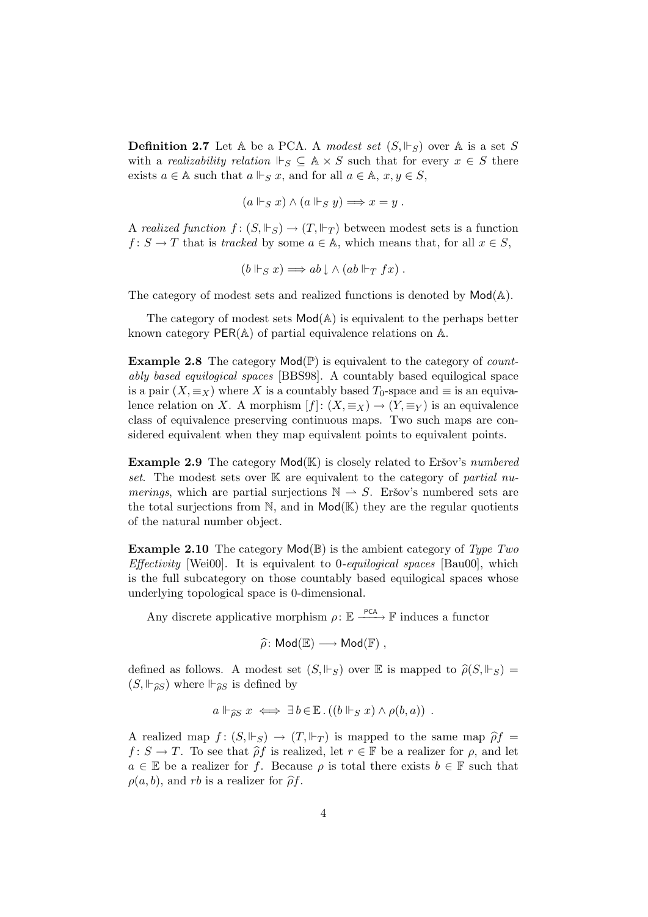**Definition 2.7** Let A be a PCA. A modest set  $(S, \Vdash_S)$  over A is a set S with a *realizability relation*  $\Vdash_S \subseteq A \times S$  such that for every  $x \in S$  there exists  $a \in A$  such that  $a \Vdash_S x$ , and for all  $a \in A$ ,  $x, y \in S$ ,

$$
(a \Vdash_S x) \land (a \Vdash_S y) \Longrightarrow x = y.
$$

A realized function  $f: (S, \Vdash_S) \to (T, \Vdash_T)$  between modest sets is a function  $f: S \to T$  that is tracked by some  $a \in A$ , which means that, for all  $x \in S$ ,

$$
(b \Vdash_S x) \Longrightarrow ab \downarrow \wedge (ab \Vdash_T fx).
$$

The category of modest sets and realized functions is denoted by  $Mod(A)$ .

The category of modest sets  $\text{Mod}(\mathbb{A})$  is equivalent to the perhaps better known category  $PER(A)$  of partial equivalence relations on  $A$ .

**Example 2.8** The category  $\text{Mod}(\mathbb{P})$  is equivalent to the category of *count*ably based equilogical spaces [BBS98]. A countably based equilogical space is a pair  $(X, \equiv_X)$  where X is a countably based  $T_0$ -space and  $\equiv$  is an equivalence relation on X. A morphism  $[f]$ :  $(X, \equiv_X) \to (Y, \equiv_Y)$  is an equivalence class of equivalence preserving continuous maps. Two such maps are considered equivalent when they map equivalent points to equivalent points.

**Example 2.9** The category  $\text{Mod}(\mathbb{K})$  is closely related to Eršov's numbered set. The modest sets over  $\mathbb K$  are equivalent to the category of partial numerings, which are partial surjections  $\mathbb{N} \to S$ . Eršov's numbered sets are the total surjections from  $\mathbb N$ , and in  $\mathsf{Mod}(\mathbb{K})$  they are the regular quotients of the natural number object.

**Example 2.10** The category  $\text{Mod}(\mathbb{B})$  is the ambient category of Type Two *Effectivity* [Wei00]. It is equivalent to 0-*equilogical spaces* [Bau00], which is the full subcategory on those countably based equilogical spaces whose underlying topological space is 0-dimensional.

Any discrete applicative morphism  $\rho: \mathbb{E} \xrightarrow{\text{PCA}} \mathbb{F}$  induces a functor

$$
\widehat{\rho}\colon \mathsf{Mod}(\mathbb{E}) \longrightarrow \mathsf{Mod}(\mathbb{F}) ,
$$

defined as follows. A modest set  $(S, \Vdash_S)$  over  $\mathbb E$  is mapped to  $\hat{\rho}(S, \Vdash_S)$  $(S, \Vdash_{\widehat{\partial}S})$  where  $\Vdash_{\widehat{\partial}S}$  is defined by

$$
a \Vdash_{\widehat{\rho}S} x \iff \exists b \in \mathbb{E} \cdot ((b \Vdash_S x) \land \rho(b, a))
$$
.

A realized map  $f: (S, \Vdash_S) \to (T, \Vdash_T)$  is mapped to the same map  $\hat{\rho}f =$  $f: S \to T$ . To see that  $\hat{\rho} f$  is realized, let  $r \in \mathbb{F}$  be a realizer for  $\rho$ , and let  $a \in \mathbb{E}$  be a realizer for f. Because  $\rho$  is total there exists  $b \in \mathbb{F}$  such that  $\rho(a, b)$ , and rb is a realizer for  $\hat{\rho}f$ .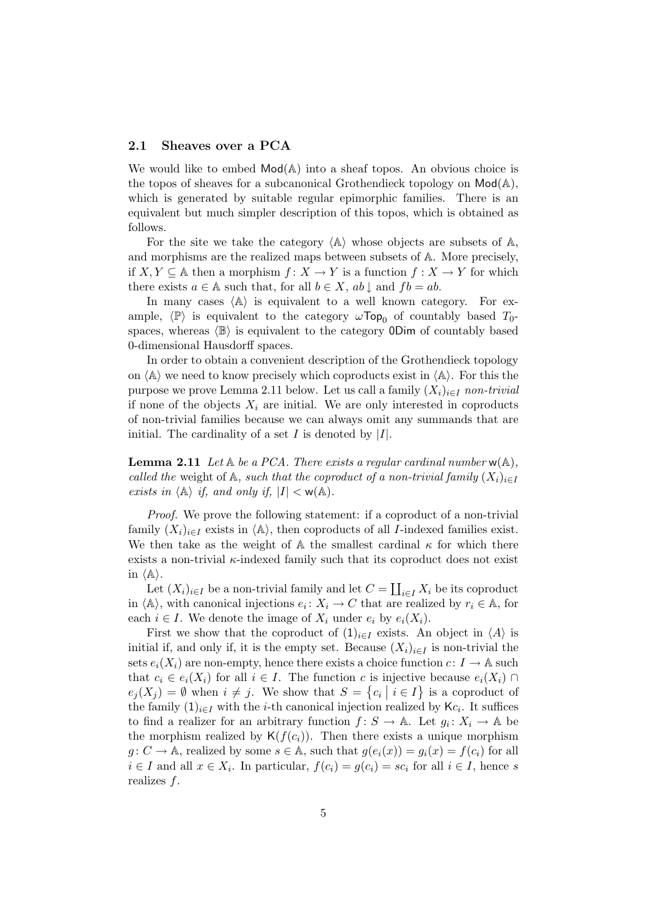#### 2.1 Sheaves over a PCA

We would like to embed  $Mod(A)$  into a sheaf topos. An obvious choice is the topos of sheaves for a subcanonical Grothendieck topology on  $Mod(A)$ , which is generated by suitable regular epimorphic families. There is an equivalent but much simpler description of this topos, which is obtained as follows.

For the site we take the category  $\langle A \rangle$  whose objects are subsets of A, and morphisms are the realized maps between subsets of A. More precisely, if  $X, Y \subseteq A$  then a morphism  $f: X \to Y$  is a function  $f: X \to Y$  for which there exists  $a \in A$  such that, for all  $b \in X$ ,  $ab \downarrow$  and  $fb = ab$ .

In many cases  $\langle A \rangle$  is equivalent to a well known category. For example,  $\langle \mathbb{P} \rangle$  is equivalent to the category  $\omega$ Top<sub>0</sub> of countably based  $T_0$ spaces, whereas  $\langle \mathbb{B} \rangle$  is equivalent to the category 0Dim of countably based 0-dimensional Hausdorff spaces.

In order to obtain a convenient description of the Grothendieck topology on  $\langle A \rangle$  we need to know precisely which coproducts exist in  $\langle A \rangle$ . For this the purpose we prove Lemma 2.11 below. Let us call a family  $(X_i)_{i\in I}$  non-trivial if none of the objects  $X_i$  are initial. We are only interested in coproducts of non-trivial families because we can always omit any summands that are initial. The cardinality of a set  $I$  is denoted by  $|I|$ .

**Lemma 2.11** Let  $\mathbb A$  be a PCA. There exists a regular cardinal number  $w(\mathbb A)$ , called the weight of A, such that the coproduct of a non-trivial family  $(X_i)_{i\in I}$ exists in  $\langle A \rangle$  if, and only if,  $|I| < w(A)$ .

Proof. We prove the following statement: if a coproduct of a non-trivial family  $(X_i)_{i\in I}$  exists in  $\langle A \rangle$ , then coproducts of all *I*-indexed families exist. We then take as the weight of  $A$  the smallest cardinal  $\kappa$  for which there exists a non-trivial  $\kappa$ -indexed family such that its coproduct does not exist in  $\langle \mathbb{A} \rangle$ .

Let  $(X_i)_{i\in I}$  be a non-trivial family and let  $C = \coprod_{i\in I} X_i$  be its coproduct in  $\langle A \rangle$ , with canonical injections  $e_i: X_i \to C$  that are realized by  $r_i \in A$ , for each  $i \in I$ . We denote the image of  $X_i$  under  $e_i$  by  $e_i(X_i)$ .

First we show that the coproduct of  $(1)_{i\in I}$  exists. An object in  $\langle A \rangle$  is initial if, and only if, it is the empty set. Because  $(X_i)_{i\in I}$  is non-trivial the sets  $e_i(X_i)$  are non-empty, hence there exists a choice function  $c: I \to \mathbb{A}$  such that  $c_i \in e_i(X_i)$  for all  $i \in I$ . The function c is injective because  $e_i(X_i) \cap$  $e_j(X_j) = \emptyset$  when  $i \neq j$ . We show that  $S = \{c_i \mid i \in I\}$  is a coproduct of the family  $(1)_{i\in I}$  with the *i*-th canonical injection realized by K $c_i$ . It suffices to find a realizer for an arbitrary function  $f: S \to \mathbb{A}$ . Let  $g_i: X_i \to \mathbb{A}$  be the morphism realized by  $\mathsf{K}(f(c_i))$ . Then there exists a unique morphism  $g: C \to \mathbb{A}$ , realized by some  $s \in \mathbb{A}$ , such that  $g(e_i(x)) = g_i(x) = f(c_i)$  for all  $i \in I$  and all  $x \in X_i$ . In particular,  $f(c_i) = g(c_i) = sc_i$  for all  $i \in I$ , hence s realizes f.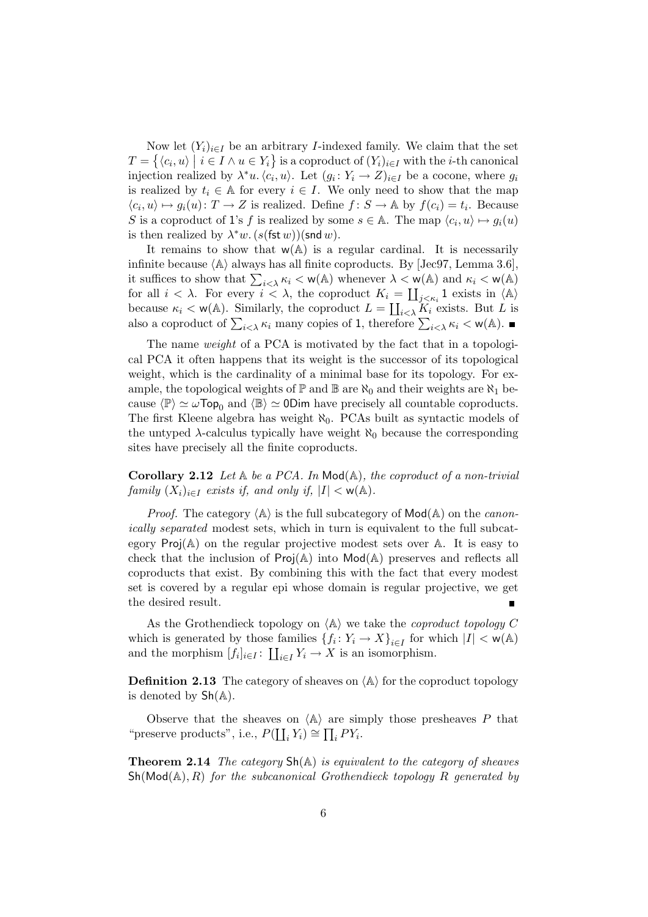Now let  $(Y_i)_{i\in I}$  be an arbitrary *I*-indexed family. We claim that the set  $T = \{ \langle c_i, u \rangle \mid i \in I \land u \in Y_i \}$  is a coproduct of  $(Y_i)_{i \in I}$  with the *i*-th canonical injection realized by  $\lambda^* u$ .  $\langle c_i, u \rangle$ . Let  $(g_i: Y_i \to Z)_{i \in I}$  be a cocone, where  $g_i$ is realized by  $t_i \in A$  for every  $i \in I$ . We only need to show that the map  $\langle c_i, u \rangle \mapsto g_i(u) \colon T \to Z$  is realized. Define  $f \colon S \to \mathbb{A}$  by  $f(c_i) = t_i$ . Because S is a coproduct of 1's f is realized by some  $s \in A$ . The map  $\langle c_i, u \rangle \mapsto g_i(u)$ is then realized by  $\lambda^* w$ .  $(s(\text{fst } w))(\text{snd } w)$ .

It remains to show that  $w(A)$  is a regular cardinal. It is necessarily infinite because  $\langle A \rangle$  always has all finite coproducts. By [Jec97, Lemma 3.6], it suffices to show that  $\sum_{i \leq \lambda} \kappa_i < w(\mathbb{A})$  whenever  $\lambda < w(\mathbb{A})$  and  $\kappa_i < w(\mathbb{A})$ for all  $i < \lambda$ . For every  $i < \lambda$ , the coproduct  $K_i = \coprod_{j < \kappa_i} 1$  exists in  $\langle A \rangle$ because  $\kappa_i < w(\mathbb{A})$ . Similarly, the coproduct  $L = \coprod_{i < \lambda} K_i$  exists. But L is also a coproduct of  $\sum_{i<\lambda} \kappa_i$  many copies of 1, therefore  $\sum_{i<\lambda} \kappa_i < w(\mathbb{A})$ .

The name *weight* of a PCA is motivated by the fact that in a topological PCA it often happens that its weight is the successor of its topological weight, which is the cardinality of a minimal base for its topology. For example, the topological weights of  $\mathbb P$  and  $\mathbb B$  are  $\aleph_0$  and their weights are  $\aleph_1$  because  $\langle \mathbb{P} \rangle \simeq \omega \text{Top}_0$  and  $\langle \mathbb{B} \rangle \simeq 0$ Dim have precisely all countable coproducts. The first Kleene algebra has weight  $\aleph_0$ . PCAs built as syntactic models of the untyped  $\lambda$ -calculus typically have weight  $\aleph_0$  because the corresponding sites have precisely all the finite coproducts.

**Corollary 2.12** Let  $A$  be a PCA. In Mod $(A)$ , the coproduct of a non-trivial family  $(X_i)_{i\in I}$  exists if, and only if,  $|I| < \mathsf{w}(\mathbb{A})$ .

*Proof.* The category  $\langle A \rangle$  is the full subcategory of  $Mod(A)$  on the *canon*ically separated modest sets, which in turn is equivalent to the full subcategory  $\text{Proj}(\mathbb{A})$  on the regular projective modest sets over  $\mathbb{A}$ . It is easy to check that the inclusion of  $\text{Proj}(\mathbb{A})$  into  $\text{Mod}(\mathbb{A})$  preserves and reflects all coproducts that exist. By combining this with the fact that every modest set is covered by a regular epi whose domain is regular projective, we get the desired result.

As the Grothendieck topology on  $\langle A \rangle$  we take the *coproduct topology C* which is generated by those families  $\{f_i: Y_i \to X\}_{i \in I}$  for which  $|I| < \mathsf{w}(\mathbb{A})$ and the morphism  $[f_i]_{i \in I} : \coprod_{i \in I} Y_i \to X$  is an isomorphism.

**Definition 2.13** The category of sheaves on  $\langle A \rangle$  for the coproduct topology is denoted by  $\mathsf{Sh}(\mathbb{A})$ .

Observe that the sheaves on  $\langle A \rangle$  are simply those presheaves P that "preserve products", i.e.,  $P(\coprod_i Y_i) \cong \prod_i PY_i$ .

**Theorem 2.14** The category  $\text{Sh}(\mathbb{A})$  is equivalent to the category of sheaves  $\mathsf{Sh}(\mathsf{Mod}(\mathbb{A}), R)$  for the subcanonical Grothendieck topology R generated by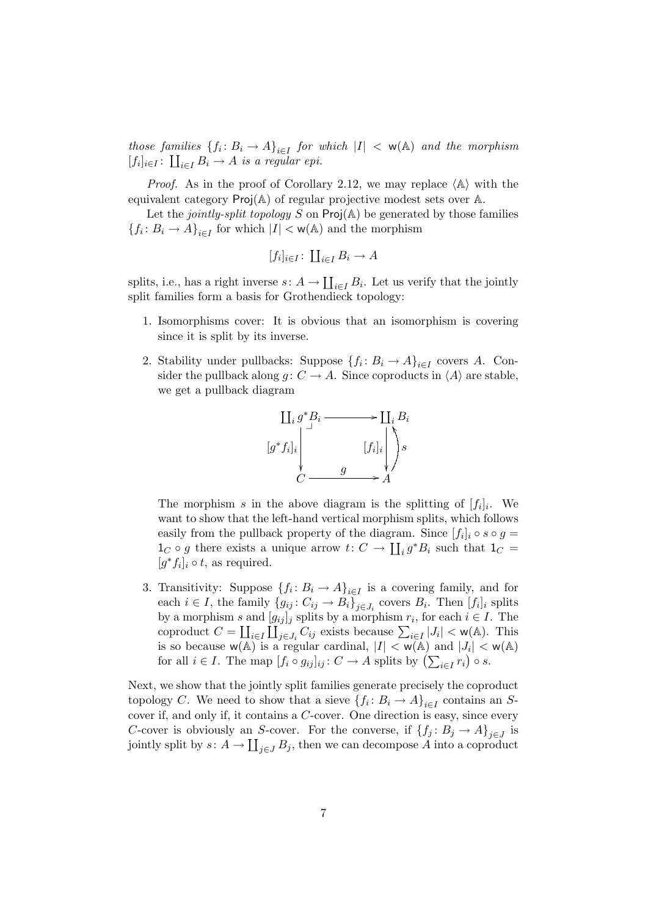those families  $\{f_i: B_i \to A\}_{i \in I}$  for which  $|I| < w(\mathbb{A})$  and the morphism  $[f_i]_{i\in I}$ :  $\coprod_{i\in I} B_i \to A$  is a regular epi.

*Proof.* As in the proof of Corollary 2.12, we may replace  $\langle A \rangle$  with the equivalent category Proj(A) of regular projective modest sets over A.

Let the jointly-split topology S on  $\text{Proj}(\mathbb{A})$  be generated by those families  ${f_i \colon B_i \to A}_{i \in I}$  for which  $|I| < w(\mathbb{A})$  and the morphism

$$
[f_i]_{i \in I} \colon \coprod_{i \in I} B_i \to A
$$

splits, i.e., has a right inverse  $s: A \to \coprod_{i \in I} B_i$ . Let us verify that the jointly split families form a basis for Grothendieck topology:

- 1. Isomorphisms cover: It is obvious that an isomorphism is covering since it is split by its inverse.
- 2. Stability under pullbacks: Suppose  $\{f_i: B_i \to A\}_{i \in I}$  covers A. Consider the pullback along  $g: C \to A$ . Since coproducts in  $\langle A \rangle$  are stable, we get a pullback diagram



The morphism s in the above diagram is the splitting of  $[f_i]_i$ . We want to show that the left-hand vertical morphism splits, which follows easily from the pullback property of the diagram. Since  $[f_i]_i \circ s \circ g =$  $1_C \circ g$  there exists a unique arrow  $t: C \to \coprod_i g^*B_i$  such that  $1_C =$  $[g^*f_i]_i \circ t$ , as required.

3. Transitivity: Suppose  $\{f_i: B_i \to A\}_{i \in I}$  is a covering family, and for each  $i \in I$ , the family  $\{g_{ij}: C_{ij} \to B_i\}_{j \in J_i}$  covers  $B_i$ . Then  $[f_i]_i$  splits by a morphism s and  $[g_{ij}]_j$  splits by a morphism  $r_i$ , for each  $i \in I$ . The coproduct  $C = \coprod_{i \in I} \coprod_{j \in J_i} C_{ij}$  exists because  $\sum_{i \in I} |J_i| < w(\mathbb{A})$ . This is so because  $w(A)$  is a regular cardinal,  $|I| < w(A)$  and  $|J_i| < w(A)$ for all  $i \in I$ . The map  $[f_i \circ g_{ij}]_{ij} : C \to A$  splits by  $\left(\sum_{i \in I} r_i\right) \circ s$ .

Next, we show that the jointly split families generate precisely the coproduct topology C. We need to show that a sieve  $\{f_i: B_i \to A\}_{i \in I}$  contains an Scover if, and only if, it contains a C-cover. One direction is easy, since every C-cover is obviously an S-cover. For the converse, if  ${f_j : B_j \to A}_{j \in J}$  is jointly split by  $s: A \to \coprod_{j \in J} B_j$ , then we can decompose A into a coproduct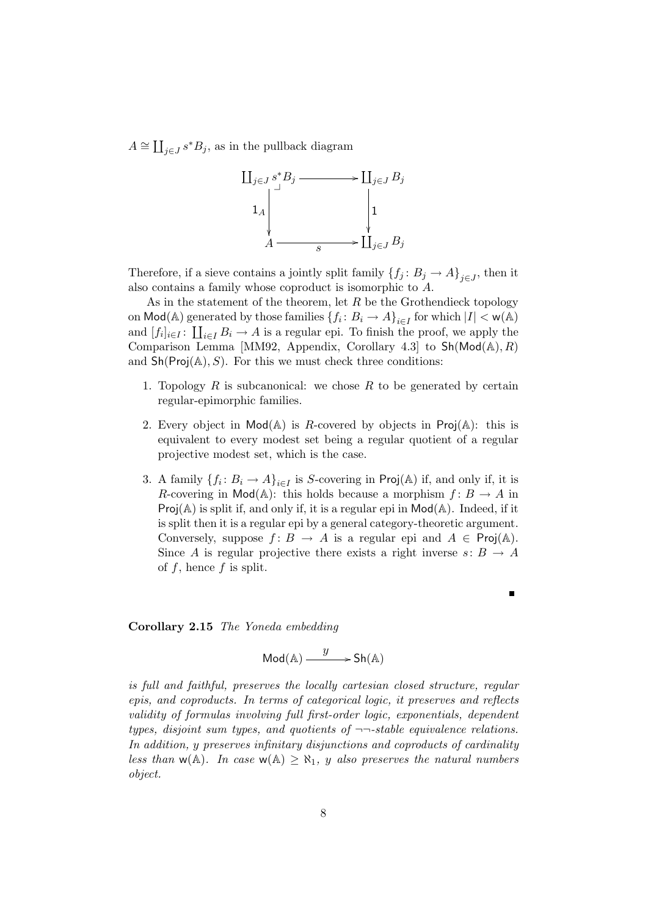$A \cong \coprod_{j\in J} s^*B_j$ , as in the pullback diagram



Therefore, if a sieve contains a jointly split family  $\{f_j: B_j \to A\}_{j \in J}$ , then it also contains a family whose coproduct is isomorphic to A.

As in the statement of the theorem, let  $R$  be the Grothendieck topology on  $\text{Mod}(A)$  generated by those families  $\{f_i: B_i \to A\}_{i \in I}$  for which  $|I| < \mathsf{w}(A)$ and  $[f_i]_{i\in I}$ :  $\coprod_{i\in I} B_i \to A$  is a regular epi. To finish the proof, we apply the Comparison Lemma [MM92, Appendix, Corollary 4.3] to  $\text{Sh}(\text{Mod}(\mathbb{A}), R)$ and  $\mathsf{Sh}(\mathsf{Proj}(\mathbb{A}), S)$ . For this we must check three conditions:

- 1. Topology  $R$  is subcanonical: we chose  $R$  to be generated by certain regular-epimorphic families.
- 2. Every object in  $Mod(A)$  is R-covered by objects in  $Proj(A)$ : this is equivalent to every modest set being a regular quotient of a regular projective modest set, which is the case.
- 3. A family  $\{f_i: B_i \to A\}_{i \in I}$  is S-covering in Proj(A) if, and only if, it is R-covering in Mod( $\mathbb{A}$ ): this holds because a morphism  $f: B \to A$  in  $Proj(A)$  is split if, and only if, it is a regular epi in  $Mod(A)$ . Indeed, if it is split then it is a regular epi by a general category-theoretic argument. Conversely, suppose  $f: B \to A$  is a regular epi and  $A \in \text{Proj}(\mathbb{A})$ . Since A is regular projective there exists a right inverse  $s: B \to A$ of  $f$ , hence  $f$  is split.

 $\blacksquare$ 

#### Corollary 2.15 The Yoneda embedding

$$
\mathsf{Mod}(\mathbb{A}) \xrightarrow{y} \mathsf{Sh}(\mathbb{A})
$$

is full and faithful, preserves the locally cartesian closed structure, regular epis, and coproducts. In terms of categorical logic, it preserves and reflects validity of formulas involving full first-order logic, exponentials, dependent types, disjoint sum types, and quotients of  $\neg$ -stable equivalence relations. In addition, y preserves infinitary disjunctions and coproducts of cardinality less than  $w(A)$ . In case  $w(A) \geq \aleph_1$ , y also preserves the natural numbers object.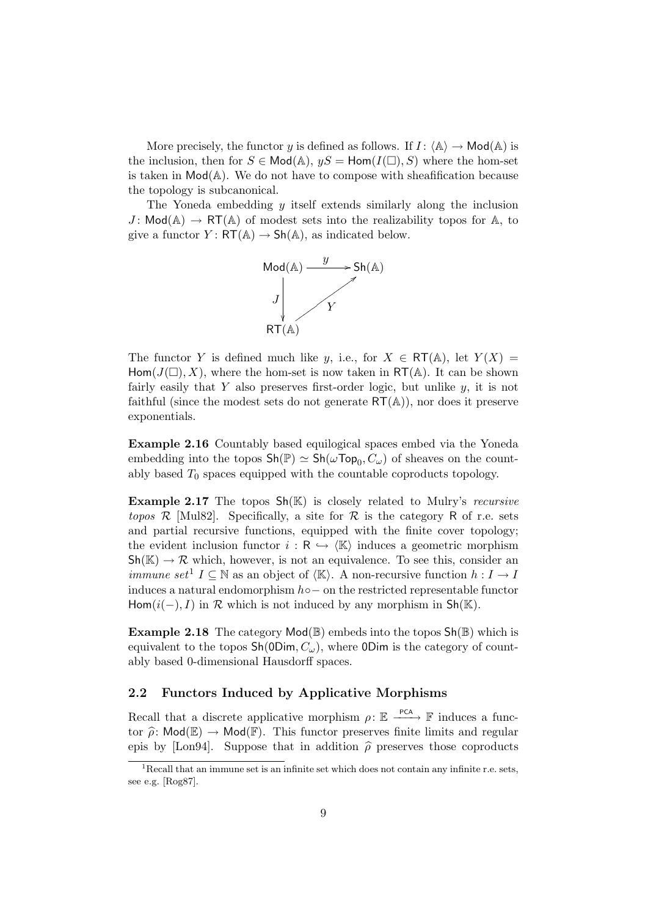More precisely, the functor y is defined as follows. If  $I: \langle A \rangle \to \mathsf{Mod}(A)$  is the inclusion, then for  $S \in Mod(A)$ ,  $yS = Hom(I(\square), S)$  where the hom-set is taken in  $Mod(A)$ . We do not have to compose with sheafification because the topology is subcanonical.

The Yoneda embedding y itself extends similarly along the inclusion  $J: Mod(A) \to RT(A)$  of modest sets into the realizability topos for A, to give a functor  $Y: RT(\mathbb{A}) \to Sh(\mathbb{A})$ , as indicated below.



The functor Y is defined much like y, i.e., for  $X \in RT(\mathbb{A})$ , let  $Y(X) =$ Hom( $J(\square)$ , X), where the hom-set is now taken in RT(A). It can be shown fairly easily that  $Y$  also preserves first-order logic, but unlike  $y$ , it is not faithful (since the modest sets do not generate  $\mathsf{RT}(\mathbb{A})$ ), nor does it preserve exponentials.

Example 2.16 Countably based equilogical spaces embed via the Yoneda embedding into the topos  $\mathsf{Sh}(\mathbb{P}) \simeq \mathsf{Sh}(\omega \mathsf{Top}_0, C_{\omega})$  of sheaves on the countably based  $T_0$  spaces equipped with the countable coproducts topology.

**Example 2.17** The topos  $\mathsf{Sh}(\mathbb{K})$  is closely related to Mulry's *recursive* topos R [Mul82]. Specifically, a site for R is the category R of r.e. sets and partial recursive functions, equipped with the finite cover topology; the evident inclusion functor  $i : \mathsf{R} \hookrightarrow \langle \mathbb{K} \rangle$  induces a geometric morphism  $\mathsf{Sh}(\mathbb{K}) \to \mathcal{R}$  which, however, is not an equivalence. To see this, consider an *immune set*<sup>1</sup>  $I \subseteq \mathbb{N}$  as an object of  $\langle \mathbb{K} \rangle$ . A non-recursive function  $h : I \to I$ induces a natural endomorphism  $h$ ∘ – on the restricted representable functor Hom $(i(-), I)$  in  $\mathcal R$  which is not induced by any morphism in Sh(K).

**Example 2.18** The category  $Mod(\mathbb{B})$  embeds into the topos  $Sh(\mathbb{B})$  which is equivalent to the topos  $\mathsf{Sh}(\mathsf{ODim}, C_\omega)$ , where  $\mathsf{ODim}$  is the category of countably based 0-dimensional Hausdorff spaces.

#### 2.2 Functors Induced by Applicative Morphisms

Recall that a discrete applicative morphism  $\rho: \mathbb{E} \longrightarrow^{\text{PCA}} \mathbb{F}$  induces a functor  $\hat{\rho}$ : Mod( $\mathbb{E}$ )  $\rightarrow$  Mod( $\mathbb{F}$ ). This functor preserves finite limits and regular epis by [Lon94]. Suppose that in addition  $\hat{\rho}$  preserves those coproducts

 $1$ -Recall that an immune set is an infinite set which does not contain any infinite r.e. sets, see e.g. [Rog87].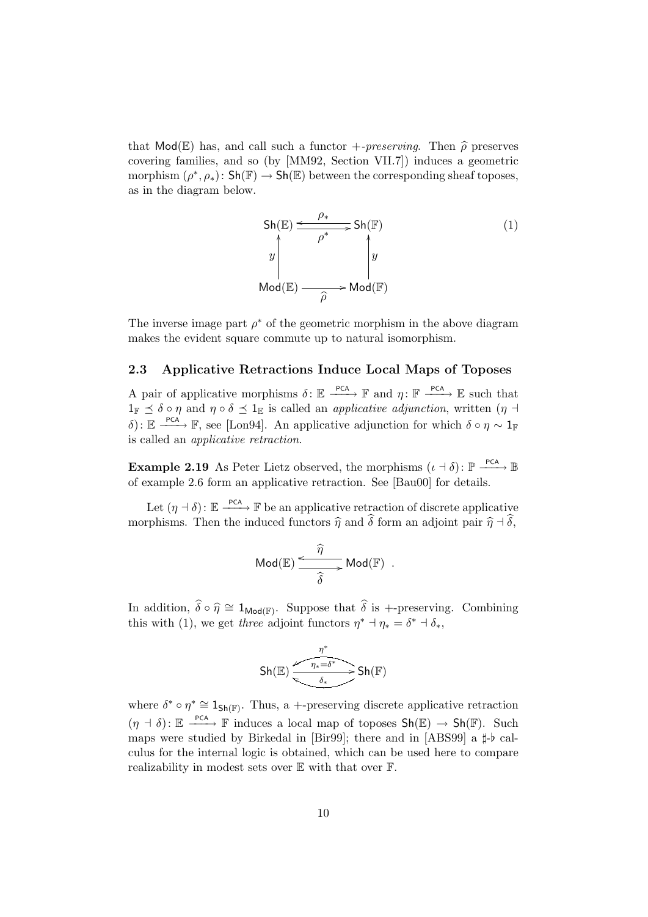that  $\text{Mod}(\mathbb{E})$  has, and call such a functor  $\text{+}$ -preserving. Then  $\widehat{\rho}$  preserves covering families, and so (by [MM92, Section VII.7]) induces a geometric morphism  $(\rho^*, \rho_*)$ : Sh $(\mathbb{F}) \to$  Sh $(\mathbb{E})$  between the corresponding sheaf toposes, as in the diagram below.

Sh(E) 
$$
\xrightarrow{\rho_*}
$$
 Sh(F)  
\ny  
\nMod(E)  $\xrightarrow{\rho^*}$  y  
\nMod(F)

.

The inverse image part  $\rho^*$  of the geometric morphism in the above diagram makes the evident square commute up to natural isomorphism.

#### 2.3 Applicative Retractions Induce Local Maps of Toposes

A pair of applicative morphisms  $\delta: \mathbb{E} \xrightarrow{\text{PCA}} \mathbb{F}$  and  $\eta: \mathbb{F} \xrightarrow{\text{PCA}} \mathbb{E}$  such that  $1_{\mathbb{F}} \prec \delta \circ \eta$  and  $\eta \circ \delta \preceq 1_{\mathbb{E}}$  is called an *applicative adjunction*, written  $(\eta \rightarrow \eta)$  $\delta$ ):  $\mathbb{E} \longrightarrow^{\text{PCA}} \mathbb{F}$ , see [Lon94]. An applicative adjunction for which  $\delta \circ \eta \sim 1_{\mathbb{F}}$ is called an applicative retraction.

**Example 2.19** As Peter Lietz observed, the morphisms  $(\iota \cdot \delta)$ :  $\mathbb{P} \xrightarrow{\text{PCA}} \mathbb{B}$ of example 2.6 form an applicative retraction. See [Bau00] for details.

Let  $(\eta - \delta)$ :  $\mathbb{E} \stackrel{\text{PCA}}{\longrightarrow} \mathbb{F}$  be an applicative retraction of discrete applicative morphisms. Then the induced functors  $\hat{\eta}$  and  $\hat{\delta}$  form an adjoint pair  $\hat{\eta}$  +  $\hat{\delta}$ ,

$$
\mathsf{Mod}(\mathbb{E}) \xrightarrow{\widehat{\eta}} \mathsf{Mod}(\mathbb{F})
$$

In addition,  $\hat{\delta} \circ \hat{\eta} \cong 1_{\text{Mod}(\mathbb{F})}$ . Suppose that  $\hat{\delta}$  is +-preserving. Combining this with (1) we get three edicint functors  $x^* \dashv x = \delta^* \dashv \delta$ this with (1), we get three adjoint functors  $\eta^*$  +  $\eta_* = \delta^*$  +  $\delta_*$ ,

$$
\text{Sh}(\mathbb{E})\xrightarrow{\eta^*} \text{Sh}(\mathbb{F})
$$

where  $\delta^* \circ \eta^* \cong 1_{\mathsf{Sh}(\mathbb{F})}$ . Thus, a +-preserving discrete applicative retraction  $(\eta + \delta) : \mathbb{E} \longrightarrow^{\mathsf{PCA}} \mathbb{F}$  induces a local map of toposes  $\mathsf{Sh}(\mathbb{E}) \to \mathsf{Sh}(\mathbb{F})$ . Such maps were studied by Birkedal in [Bir99]; there and in [ABS99] a  $\sharp$ -b calculus for the internal logic is obtained, which can be used here to compare realizability in modest sets over E with that over F.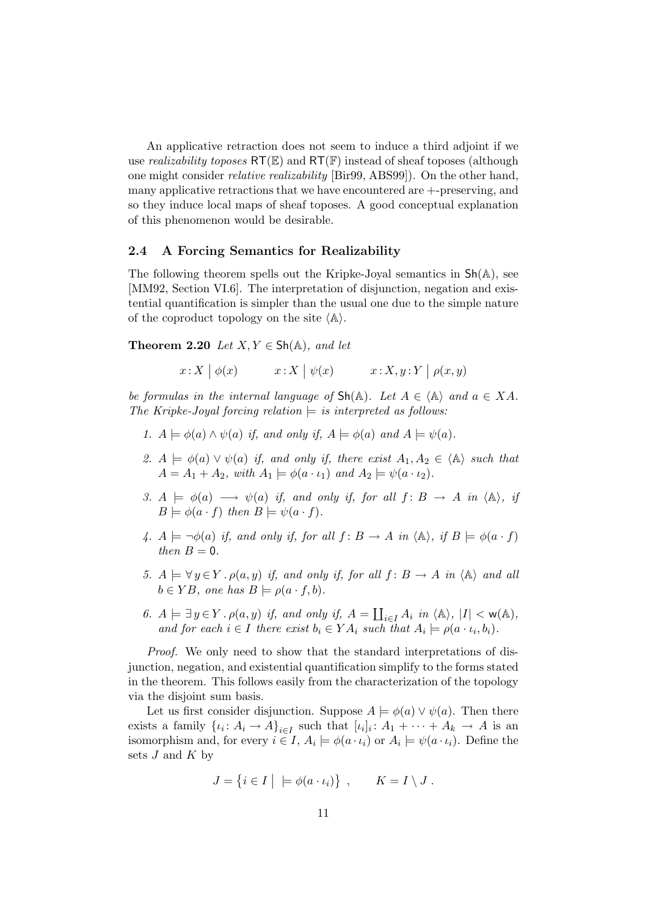An applicative retraction does not seem to induce a third adjoint if we use *realizability toposes*  $RT(\mathbb{E})$  and  $RT(\mathbb{F})$  instead of sheaf toposes (although one might consider relative realizability [Bir99, ABS99]). On the other hand, many applicative retractions that we have encountered are +-preserving, and so they induce local maps of sheaf toposes. A good conceptual explanation of this phenomenon would be desirable.

#### 2.4 A Forcing Semantics for Realizability

The following theorem spells out the Kripke-Joyal semantics in  $\mathsf{Sh}(\mathbb{A})$ , see [MM92, Section VI.6]. The interpretation of disjunction, negation and existential quantification is simpler than the usual one due to the simple nature of the coproduct topology on the site  $\langle A \rangle$ .

Theorem 2.20 Let  $X, Y \in Sh(\mathbb{A})$ , and let

 $x: X \mid \phi(x)$   $x: X \mid \psi(x)$   $x: X, y: Y \mid \rho(x, y)$ 

be formulas in the internal language of  $\text{Sh}(\mathbb{A})$ . Let  $A \in \langle \mathbb{A} \rangle$  and  $a \in XA$ . The Kripke-Joyal forcing relation  $\models$  is interpreted as follows:

- 1.  $A \models \phi(a) \land \psi(a)$  if, and only if,  $A \models \phi(a)$  and  $A \models \psi(a)$ .
- 2.  $A \models \phi(a) \vee \psi(a)$  if, and only if, there exist  $A_1, A_2 \in \langle A \rangle$  such that  $A = A_1 + A_2$ , with  $A_1 \models \phi(a \cdot \iota_1)$  and  $A_2 \models \psi(a \cdot \iota_2)$ .
- 3.  $A \models \phi(a) \longrightarrow \psi(a)$  if, and only if, for all  $f : B \longrightarrow A$  in  $\langle A \rangle$ , if  $B \models \phi(a \cdot f)$  then  $B \models \psi(a \cdot f)$ .
- 4.  $A \models \neg \phi(a)$  if, and only if, for all  $f : B \to A$  in  $\langle A \rangle$ , if  $B \models \phi(a \cdot f)$ then  $B=0$ .
- 5.  $A \models \forall y \in Y \cdot \rho(a, y)$  if, and only if, for all  $f : B \to A$  in  $\langle A \rangle$  and all  $b \in YB$ , one has  $B \models \rho(a \cdot f, b)$ .
- 6.  $A \models \exists y \in Y \,.\, \rho(a, y)$  if, and only if,  $A = \coprod_{i \in I} A_i$  in  $\langle A \rangle$ ,  $|I| < w(A)$ , and for each  $i \in I$  there exist  $b_i \in YA_i$  such that  $A_i \models \rho(a \cdot \iota_i, b_i)$ .

Proof. We only need to show that the standard interpretations of disjunction, negation, and existential quantification simplify to the forms stated in the theorem. This follows easily from the characterization of the topology via the disjoint sum basis.

Let us first consider disjunction. Suppose  $A \models \phi(a) \vee \psi(a)$ . Then there exists a family  $\{i_i: A_i \to A\}_{i \in I}$  such that  $[i_i]: A_1 + \cdots + A_k \to A$  is an isomorphism and, for every  $i \in I$ ,  $A_i \models \phi(a \cdot \iota_i)$  or  $A_i \models \psi(a \cdot \iota_i)$ . Define the sets  $J$  and  $K$  by

$$
J = \{ i \in I \mid \models \phi(a \cdot \iota_i) \}, \qquad K = I \setminus J.
$$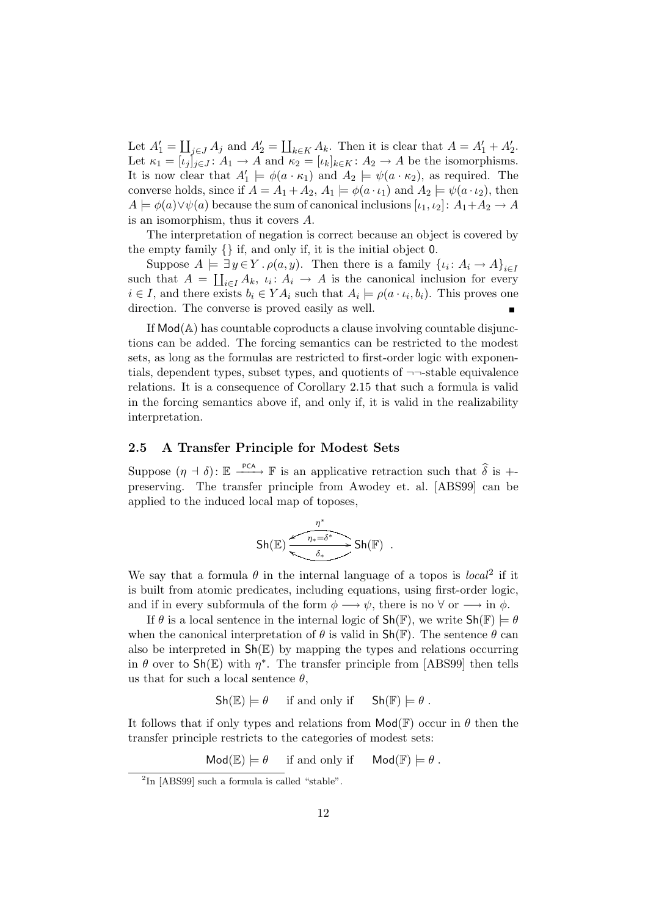Let  $A'_1 = \coprod_{j\in J} A_j$  and  $A'_2 = \coprod_{k\in K} A_k$ . Then it is clear that  $A = A'_1 + A'_2$ . Let  $\kappa_1 = [\iota_j]_{j \in J} : A_1 \to A$  and  $\kappa_2 = [\iota_k]_{k \in K} : A_2 \to A$  be the isomorphisms. It is now clear that  $A'_1 \models \phi(a \cdot \kappa_1)$  and  $A_2 \models \psi(a \cdot \kappa_2)$ , as required. The converse holds, since if  $A = A_1 + A_2$ ,  $A_1 \models \phi(a \cdot \iota_1)$  and  $A_2 \models \psi(a \cdot \iota_2)$ , then  $A \models \phi(a) \lor \psi(a)$  because the sum of canonical inclusions  $[\iota_1, \iota_2] : A_1 + A_2 \to A$ is an isomorphism, thus it covers A.

The interpretation of negation is correct because an object is covered by the empty family {} if, and only if, it is the initial object 0.

Suppose  $A \models \exists y \in Y \cdot \rho(a, y)$ . Then there is a family  $\{i : A_i \to A\}_{i \in I}$ such that  $A = \coprod_{i \in I} A_k$ ,  $\iota_i : A_i \to A$  is the canonical inclusion for every  $i \in I$ , and there exists  $b_i \in YA_i$  such that  $A_i \models \rho(a \cdot \iota_i, b_i)$ . This proves one direction. The converse is proved easily as well.

If Mod(A) has countable coproducts a clause involving countable disjunctions can be added. The forcing semantics can be restricted to the modest sets, as long as the formulas are restricted to first-order logic with exponentials, dependent types, subset types, and quotients of  $\neg\neg\neg\nexists$ stable equivalence relations. It is a consequence of Corollary 2.15 that such a formula is valid in the forcing semantics above if, and only if, it is valid in the realizability interpretation.

### 2.5 A Transfer Principle for Modest Sets

Suppose  $(\eta + \delta)$ :  $\mathbb{E} \xrightarrow{\text{PCA}} \mathbb{F}$  is an applicative retraction such that  $\widehat{\delta}$  is +preserving. The transfer principle from Awodey et. al. [ABS99] can be applied to the induced local map of toposes,

$$
\mathsf{Sh}(\mathbb{E})\xrightarrow{\eta^* \eta^*}{\underbrace{\eta_*=\delta^*}}\mathsf{Sh}(\mathbb{F})\ .
$$

We say that a formula  $\theta$  in the internal language of a topos is local<sup>2</sup> if it is built from atomic predicates, including equations, using first-order logic, and if in every subformula of the form  $\phi \longrightarrow \psi$ , there is no  $\forall$  or  $\longrightarrow$  in  $\phi$ .

If  $\theta$  is a local sentence in the internal logic of  $\mathsf{Sh}(\mathbb{F})$ , we write  $\mathsf{Sh}(\mathbb{F}) \models \theta$ when the canonical interpretation of  $\theta$  is valid in  $\mathsf{Sh}(\mathbb{F})$ . The sentence  $\theta$  can also be interpreted in  $\mathsf{Sh}(\mathbb{E})$  by mapping the types and relations occurring in  $\theta$  over to  $\text{Sh}(\mathbb{E})$  with  $\eta^*$ . The transfer principle from [ABS99] then tells us that for such a local sentence  $\theta$ ,

 $\mathsf{Sh}(\mathbb{E}) \models \theta$  if and only if  $\mathsf{Sh}(\mathbb{F}) \models \theta$ .

It follows that if only types and relations from  $\mathsf{Mod}\mathbb{F}$  occur in  $\theta$  then the transfer principle restricts to the categories of modest sets:

 $\text{Mod}(\mathbb{E}) \models \theta$  if and only if  $\text{Mod}(\mathbb{F}) \models \theta$ .

<sup>&</sup>lt;sup>2</sup>In [ABS99] such a formula is called "stable".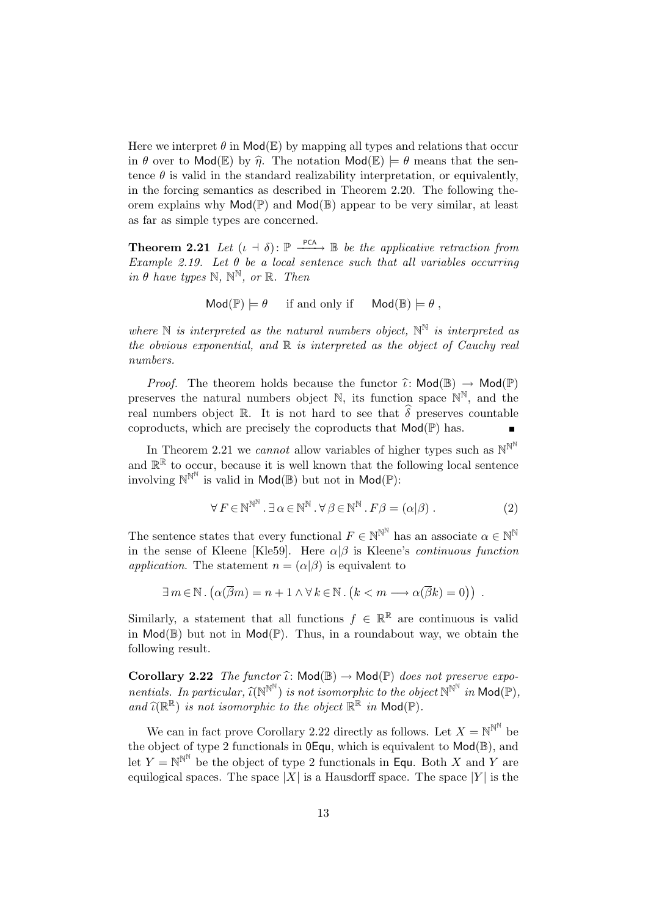Here we interpret  $\theta$  in  $\text{Mod}(\mathbb{E})$  by mapping all types and relations that occur in  $\theta$  over to Mod(E) by  $\hat{\eta}$ . The notation Mod(E)  $\models \theta$  means that the sentence  $\theta$  is valid in the standard realizability interpretation, or equivalently, in the forcing semantics as described in Theorem 2.20. The following theorem explains why  $\mathsf{Mod}(\mathbb{P})$  and  $\mathsf{Mod}(\mathbb{B})$  appear to be very similar, at least as far as simple types are concerned.

**Theorem 2.21** Let  $(\iota + \delta)$ :  $\mathbb{P} \xrightarrow{\text{PCA}} \mathbb{B}$  be the applicative retraction from Example 2.19. Let  $\theta$  be a local sentence such that all variables occurring in  $\theta$  have types  $\mathbb{N}, \mathbb{N}^{\mathbb{N}},$  or  $\mathbb{R}.$  Then

$$
Mod(\mathbb{P}) \models \theta \quad \text{if and only if} \quad Mod(\mathbb{B}) \models \theta ,
$$

where  $\mathbb N$  is interpreted as the natural numbers object,  $\mathbb N^{\mathbb N}$  is interpreted as the obvious exponential, and  $\mathbb R$  is interpreted as the object of Cauchy real numbers.

*Proof.* The theorem holds because the functor  $\hat{\iota}: Mod(\mathbb{B}) \to Mod(\mathbb{P})$ preserves the natural numbers object  $\mathbb{N}$ , its function space  $\mathbb{N}^{\mathbb{N}}$ , and the real numbers object R. It is not hard to see that  $\hat{\delta}$  preserves countable coproducts, which are precisely the coproducts that  $\mathsf{Mod}(\mathbb{P})$  has.

In Theorem 2.21 we *cannot* allow variables of higher types such as  $\mathbb{N}^{\mathbb{N}^{\mathbb{N}}}$ and  $\mathbb{R}^{\mathbb{R}}$  to occur, because it is well known that the following local sentence involving  $\mathbb{N}^{\mathbb{N}^{\mathbb{N}}}$  is valid in  $\mathsf{Mod}(\mathbb{B})$  but not in  $\mathsf{Mod}(\mathbb{P})$ :

$$
\forall F \in \mathbb{N}^{\mathbb{N}^{\mathbb{N}}} . \exists \alpha \in \mathbb{N}^{\mathbb{N}} . \forall \beta \in \mathbb{N}^{\mathbb{N}} . F\beta = (\alpha|\beta) . \tag{2}
$$

The sentence states that every functional  $F \in \mathbb{N}^{\mathbb{N}^{\mathbb{N}}}$  has an associate  $\alpha \in \mathbb{N}^{\mathbb{N}}$ in the sense of Kleene [Kle59]. Here  $\alpha|\beta$  is Kleene's *continuous function* application. The statement  $n = (\alpha|\beta)$  is equivalent to

$$
\exists m \in \mathbb{N} \,.\, \big( \alpha(\overline{\beta}m) = n + 1 \wedge \forall \, k \in \mathbb{N} \,.\, \big( k < m \longrightarrow \alpha(\overline{\beta}k) = 0 \big) \big) \,.
$$

Similarly, a statement that all functions  $f \in \mathbb{R}^{\mathbb{R}}$  are continuous is valid in  $Mod(\mathbb{B})$  but not in  $Mod(\mathbb{P})$ . Thus, in a roundabout way, we obtain the following result.

**Corollary 2.22** The functor  $\hat{\iota}: Mod(\mathbb{B}) \to Mod(\mathbb{P})$  does not preserve exponentials. In particular,  $\widehat{\iota}(N^{N^N})$  is not isomorphic to the object  $N^{N^N}$  in  $\mathsf{Mod}(\mathbb{P})$ ,<br>and  $\widehat{\iota}(N^{\mathbb{R}})$  is not isomorphic to the object  $\mathbb{P}^{\mathbb{R}}$  in  $\mathsf{Mod}(\mathbb{P})$ . and  $\widehat{\iota}(\mathbb{R}^{\mathbb{R}})$  is not isomorphic to the object  $\mathbb{R}^{\mathbb{R}}$  in  $\mathsf{Mod}(\mathbb{P})$ .

We can in fact prove Corollary 2.22 directly as follows. Let  $X = \mathbb{N}^{\mathbb{N}^{\mathbb{N}}}$  be the object of type 2 functionals in 0Equ, which is equivalent to Mod(B), and let  $Y = \mathbb{N}^{\mathbb{N}^{\mathbb{N}}}$  be the object of type 2 functionals in Equ. Both X and Y are equilogical spaces. The space  $|X|$  is a Hausdorff space. The space  $|Y|$  is the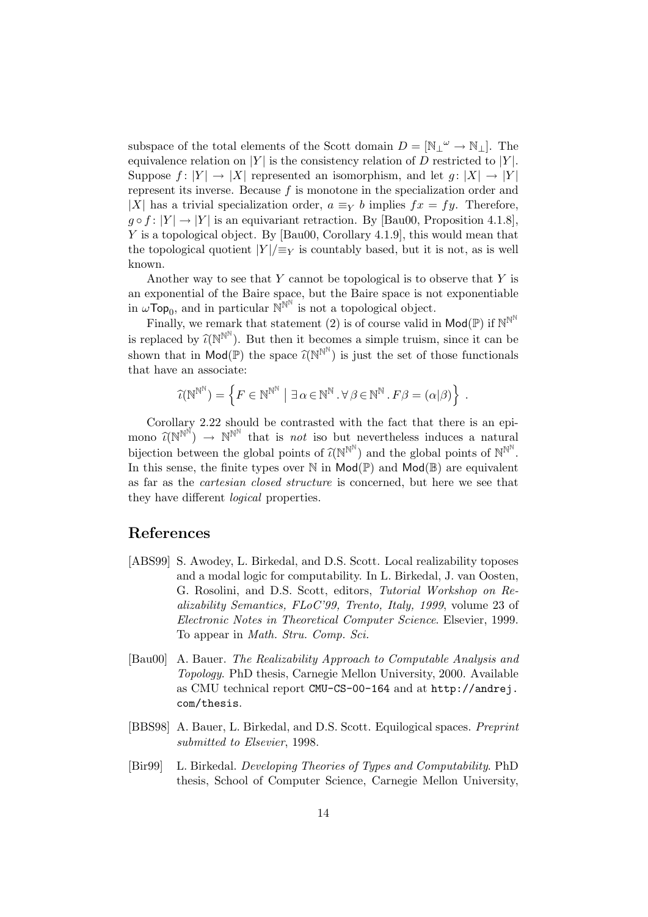subspace of the total elements of the Scott domain  $D = [\mathbb{N}_\perp \omega \to \mathbb{N}_\perp]$ . The equivalence relation on  $|Y|$  is the consistency relation of D restricted to  $|Y|$ . Suppose  $f: |Y| \to |X|$  represented an isomorphism, and let  $g: |X| \to |Y|$ represent its inverse. Because  $f$  is monotone in the specialization order and |X| has a trivial specialization order,  $a \equiv_Y b$  implies  $fx = fy$ . Therefore,  $g \circ f : |Y| \to |Y|$  is an equivariant retraction. By [Bau00, Proposition 4.1.8], Y is a topological object. By [Bau00, Corollary 4.1.9], this would mean that the topological quotient  $|Y|/\equiv_Y$  is countably based, but it is not, as is well known.

Another way to see that  $Y$  cannot be topological is to observe that  $Y$  is an exponential of the Baire space, but the Baire space is not exponentiable in  $\omega \to \infty$ <sub>0</sub>, and in particular  $\mathbb{N}^{\mathbb{N}^{\mathbb{N}}}$  is not a topological object.

Finally, we remark that statement (2) is of course valid in  $\mathsf{Mod}(\mathbb{P})$  if  $\mathbb{N}^{\mathbb{N}^{\mathbb{N}}}$ is replaced by  $\widehat{\mathcal{U}}(N^{N^N})$ . But then it becomes a simple truism, since it can be shown that in  $Mod(\mathbb{P})$  the space  $\widehat{\iota}(N^{N^N})$  is just the set of those functionals that have an associate:

$$
\widehat{\iota}(\mathbb{N}^{\mathbb{N}^{\mathbb{N}}}) = \left\{ F \in \mathbb{N}^{\mathbb{N}^{\mathbb{N}}} \mid \exists \, \alpha \in \mathbb{N}^{\mathbb{N}} \cdot \forall \, \beta \in \mathbb{N}^{\mathbb{N}} \cdot F \beta = (\alpha | \beta) \right\} \; .
$$

Corollary 2.22 should be contrasted with the fact that there is an epimono  $\widehat{\iota}(N^{N^N}) \to N^{N^N}$  that is *not* iso but nevertheless induces a natural<br>historical hatmon that data data of  $\widehat{\iota}(N^{N^N})$  and the data design of  $N^{N^N}$ bijection between the global points of  $\widehat{\mathcal{U}}(N^{N^N})$  and the global points of  $N^{N^N}$ . In this sense, the finite types over  $\mathbb N$  in  $\mathsf{Mod}(\mathbb{P})$  and  $\mathsf{Mod}(\mathbb{B})$  are equivalent as far as the cartesian closed structure is concerned, but here we see that they have different logical properties.

### References

- [ABS99] S. Awodey, L. Birkedal, and D.S. Scott. Local realizability toposes and a modal logic for computability. In L. Birkedal, J. van Oosten, G. Rosolini, and D.S. Scott, editors, Tutorial Workshop on Realizability Semantics, FLoC'99, Trento, Italy, 1999, volume 23 of Electronic Notes in Theoretical Computer Science. Elsevier, 1999. To appear in Math. Stru. Comp. Sci.
- [Bau00] A. Bauer. The Realizability Approach to Computable Analysis and Topology. PhD thesis, Carnegie Mellon University, 2000. Available as CMU technical report CMU-CS-00-164 and at http://andrej. com/thesis.
- [BBS98] A. Bauer, L. Birkedal, and D.S. Scott. Equilogical spaces. Preprint submitted to Elsevier, 1998.
- [Bir99] L. Birkedal. Developing Theories of Types and Computability. PhD thesis, School of Computer Science, Carnegie Mellon University,